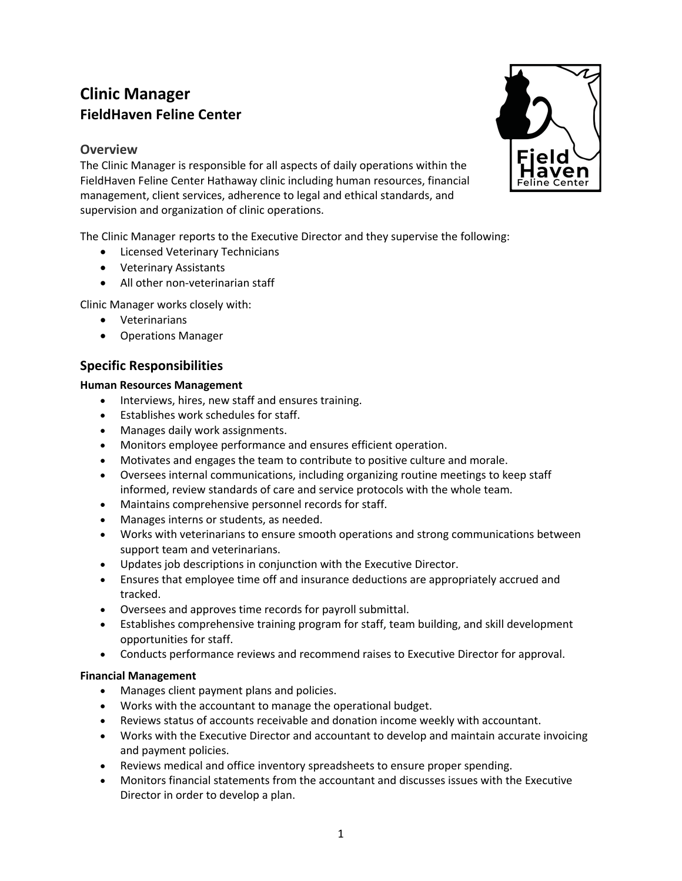# **Clinic Manager FieldHaven Feline Center**

# **Overview**

The Clinic Manager is responsible for all aspects of daily operations within the FieldHaven Feline Center Hathaway clinic including human resources, financial management, client services, adherence to legal and ethical standards, and supervision and organization of clinic operations.

The Clinic Manager reports to the Executive Director and they supervise the following:

- Licensed Veterinary Technicians
- Veterinary Assistants
- All other non-veterinarian staff

Clinic Manager works closely with:

- Veterinarians
- Operations Manager

# **Specific Responsibilities**

### **Human Resources Management**

- Interviews, hires, new staff and ensures training.
- Establishes work schedules for staff.
- Manages daily work assignments.
- Monitors employee performance and ensures efficient operation.
- Motivates and engages the team to contribute to positive culture and morale.
- Oversees internal communications, including organizing routine meetings to keep staff informed, review standards of care and service protocols with the whole team.
- Maintains comprehensive personnel records for staff.
- Manages interns or students, as needed.
- Works with veterinarians to ensure smooth operations and strong communications between support team and veterinarians.
- Updates job descriptions in conjunction with the Executive Director.
- Ensures that employee time off and insurance deductions are appropriately accrued and tracked.
- Oversees and approves time records for payroll submittal.
- Establishes comprehensive training program for staff, team building, and skill development opportunities for staff.
- Conducts performance reviews and recommend raises to Executive Director for approval.

### **Financial Management**

- Manages client payment plans and policies.
- Works with the accountant to manage the operational budget.
- Reviews status of accounts receivable and donation income weekly with accountant.
- Works with the Executive Director and accountant to develop and maintain accurate invoicing and payment policies.
- Reviews medical and office inventory spreadsheets to ensure proper spending.
- Monitors financial statements from the accountant and discusses issues with the Executive Director in order to develop a plan.

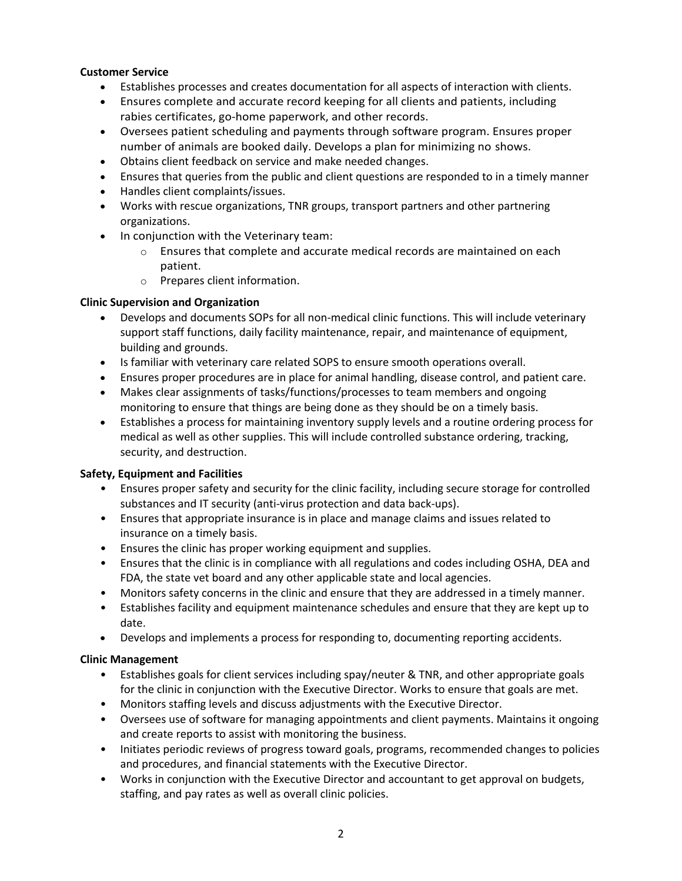### **Customer Service**

- Establishes processes and creates documentation for all aspects of interaction with clients.
- Ensures complete and accurate record keeping for all clients and patients, including rabies certificates, go-home paperwork, and other records.
- Oversees patient scheduling and payments through software program. Ensures proper number of animals are booked daily. Develops a plan for minimizing no shows.
- Obtains client feedback on service and make needed changes.
- Ensures that queries from the public and client questions are responded to in a timely manner
- Handles client complaints/issues.
- Works with rescue organizations, TNR groups, transport partners and other partnering organizations.
- In conjunction with the Veterinary team:
	- $\circ$  Ensures that complete and accurate medical records are maintained on each patient.
	- o Prepares client information.

### **Clinic Supervision and Organization**

- Develops and documents SOPs for all non-medical clinic functions. This will include veterinary support staff functions, daily facility maintenance, repair, and maintenance of equipment, building and grounds.
- Is familiar with veterinary care related SOPS to ensure smooth operations overall.
- Ensures proper procedures are in place for animal handling, disease control, and patient care.
- Makes clear assignments of tasks/functions/processes to team members and ongoing monitoring to ensure that things are being done as they should be on a timely basis.
- Establishes a process for maintaining inventory supply levels and a routine ordering process for medical as well as other supplies. This will include controlled substance ordering, tracking, security, and destruction.

### **Safety, Equipment and Facilities**

- Ensures proper safety and security for the clinic facility, including secure storage for controlled substances and IT security (anti-virus protection and data back-ups).
- Ensures that appropriate insurance is in place and manage claims and issues related to insurance on a timely basis.
- Ensures the clinic has proper working equipment and supplies.
- Ensures that the clinic is in compliance with all regulations and codes including OSHA, DEA and FDA, the state vet board and any other applicable state and local agencies.
- Monitors safety concerns in the clinic and ensure that they are addressed in a timely manner.
- Establishes facility and equipment maintenance schedules and ensure that they are kept up to date.
- Develops and implements a process for responding to, documenting reporting accidents.

### **Clinic Management**

- Establishes goals for client services including spay/neuter & TNR, and other appropriate goals for the clinic in conjunction with the Executive Director. Works to ensure that goals are met.
- Monitors staffing levels and discuss adjustments with the Executive Director.
- Oversees use of software for managing appointments and client payments. Maintains it ongoing and create reports to assist with monitoring the business.
- Initiates periodic reviews of progress toward goals, programs, recommended changes to policies and procedures, and financial statements with the Executive Director.
- Works in conjunction with the Executive Director and accountant to get approval on budgets, staffing, and pay rates as well as overall clinic policies.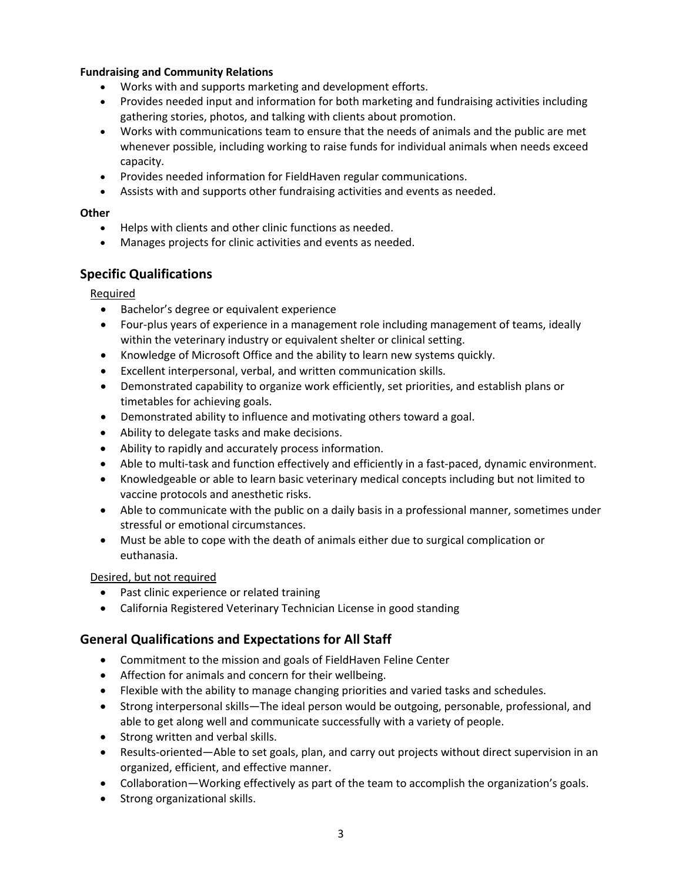### **Fundraising and Community Relations**

- Works with and supports marketing and development efforts.
- Provides needed input and information for both marketing and fundraising activities including gathering stories, photos, and talking with clients about promotion.
- Works with communications team to ensure that the needs of animals and the public are met whenever possible, including working to raise funds for individual animals when needs exceed capacity.
- Provides needed information for FieldHaven regular communications.
- Assists with and supports other fundraising activities and events as needed.

### **Other**

- Helps with clients and other clinic functions as needed.
- Manages projects for clinic activities and events as needed.

# **Specific Qualifications**

Required

- Bachelor's degree or equivalent experience
- Four-plus years of experience in a management role including management of teams, ideally within the veterinary industry or equivalent shelter or clinical setting.
- Knowledge of Microsoft Office and the ability to learn new systems quickly.
- Excellent interpersonal, verbal, and written communication skills.
- Demonstrated capability to organize work efficiently, set priorities, and establish plans or timetables for achieving goals.
- Demonstrated ability to influence and motivating others toward a goal.
- Ability to delegate tasks and make decisions.
- Ability to rapidly and accurately process information.
- Able to multi-task and function effectively and efficiently in a fast-paced, dynamic environment.
- Knowledgeable or able to learn basic veterinary medical concepts including but not limited to vaccine protocols and anesthetic risks.
- Able to communicate with the public on a daily basis in a professional manner, sometimes under stressful or emotional circumstances.
- Must be able to cope with the death of animals either due to surgical complication or euthanasia.

### Desired, but not required

- Past clinic experience or related training
- California Registered Veterinary Technician License in good standing

# **General Qualifications and Expectations for All Staff**

- Commitment to the mission and goals of FieldHaven Feline Center
- Affection for animals and concern for their wellbeing.
- Flexible with the ability to manage changing priorities and varied tasks and schedules.
- Strong interpersonal skills—The ideal person would be outgoing, personable, professional, and able to get along well and communicate successfully with a variety of people.
- Strong written and verbal skills.
- Results-oriented—Able to set goals, plan, and carry out projects without direct supervision in an organized, efficient, and effective manner.
- Collaboration—Working effectively as part of the team to accomplish the organization's goals.
- Strong organizational skills.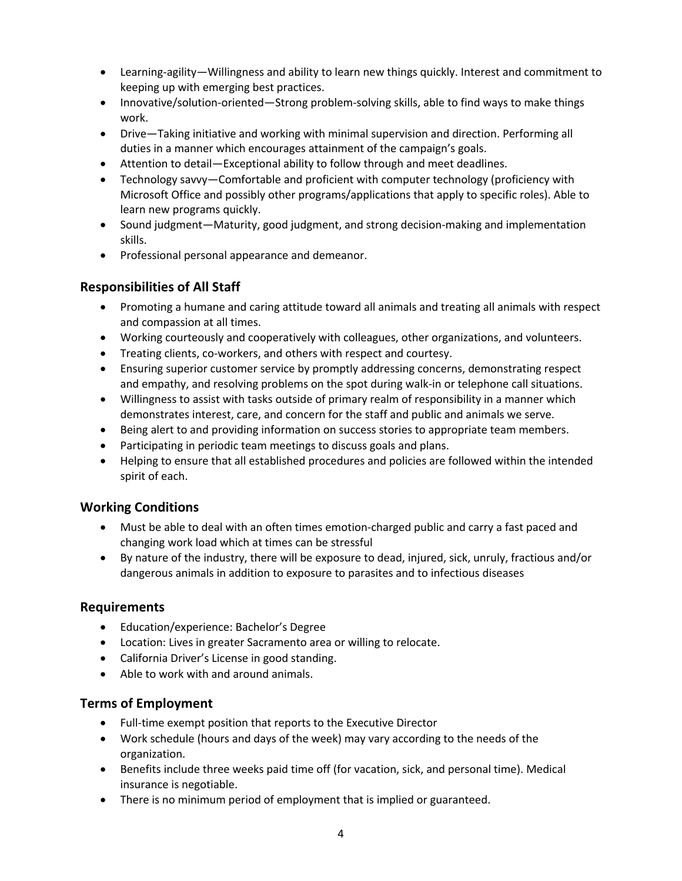- Learning-agility—Willingness and ability to learn new things quickly. Interest and commitment to keeping up with emerging best practices.
- Innovative/solution-oriented—Strong problem-solving skills, able to find ways to make things work.
- Drive―Taking initiative and working with minimal supervision and direction. Performing all duties in a manner which encourages attainment of the campaign's goals.
- Attention to detail—Exceptional ability to follow through and meet deadlines.
- Technology savvy—Comfortable and proficient with computer technology (proficiency with Microsoft Office and possibly other programs/applications that apply to specific roles). Able to learn new programs quickly.
- Sound judgment—Maturity, good judgment, and strong decision-making and implementation skills.
- Professional personal appearance and demeanor.

# **Responsibilities of All Staff**

- Promoting a humane and caring attitude toward all animals and treating all animals with respect and compassion at all times.
- Working courteously and cooperatively with colleagues, other organizations, and volunteers.
- Treating clients, co-workers, and others with respect and courtesy.
- Ensuring superior customer service by promptly addressing concerns, demonstrating respect and empathy, and resolving problems on the spot during walk-in or telephone call situations.
- Willingness to assist with tasks outside of primary realm of responsibility in a manner which demonstrates interest, care, and concern for the staff and public and animals we serve.
- Being alert to and providing information on success stories to appropriate team members.
- Participating in periodic team meetings to discuss goals and plans.
- Helping to ensure that all established procedures and policies are followed within the intended spirit of each.

### **Working Conditions**

- Must be able to deal with an often times emotion-charged public and carry a fast paced and changing work load which at times can be stressful
- By nature of the industry, there will be exposure to dead, injured, sick, unruly, fractious and/or dangerous animals in addition to exposure to parasites and to infectious diseases

### **Requirements**

- Education/experience: Bachelor's Degree
- Location: Lives in greater Sacramento area or willing to relocate.
- California Driver's License in good standing.
- Able to work with and around animals.

### **Terms of Employment**

- Full-time exempt position that reports to the Executive Director
- Work schedule (hours and days of the week) may vary according to the needs of the organization.
- Benefits include three weeks paid time off (for vacation, sick, and personal time). Medical insurance is negotiable.
- There is no minimum period of employment that is implied or guaranteed.